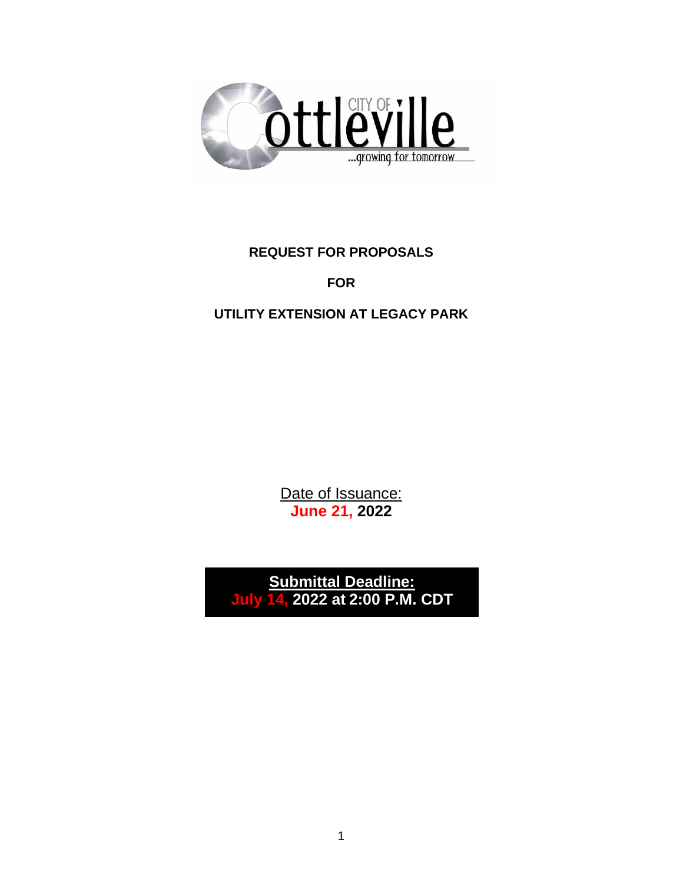

# **REQUEST FOR PROPOSALS**

**FOR** 

# **UTILITY EXTENSION AT LEGACY PARK**

Date of Issuance: **June 21, 2022**

**Submittal Deadline: July 14, 2022 at 2:00 P.M. CDT**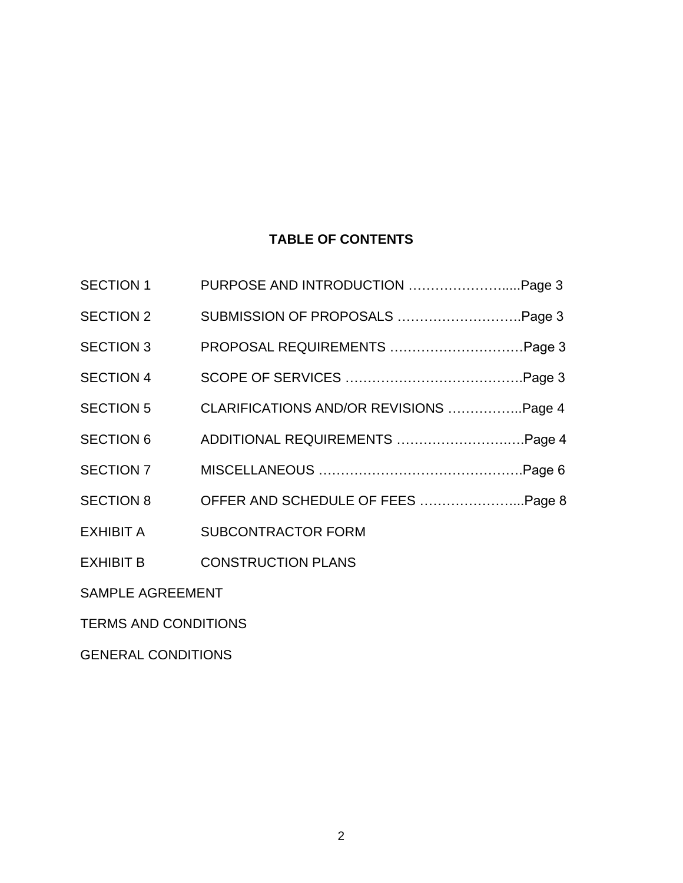# **TABLE OF CONTENTS**

| SECTION 1                   | PURPOSE AND INTRODUCTION  Page 3 |  |
|-----------------------------|----------------------------------|--|
| SECTION 2                   | SUBMISSION OF PROPOSALS  Page 3  |  |
| SECTION 3                   | PROPOSAL REQUIREMENTS  Page 3    |  |
| SECTION 4                   |                                  |  |
|                             |                                  |  |
|                             |                                  |  |
| SECTION 7                   |                                  |  |
| SECTION 8                   |                                  |  |
| EXHIBIT A                   | <b>SUBCONTRACTOR FORM</b>        |  |
| EXHIBIT B                   | <b>CONSTRUCTION PLANS</b>        |  |
| <b>SAMPLE AGREEMENT</b>     |                                  |  |
| <b>TERMS AND CONDITIONS</b> |                                  |  |
|                             |                                  |  |

GENERAL CONDITIONS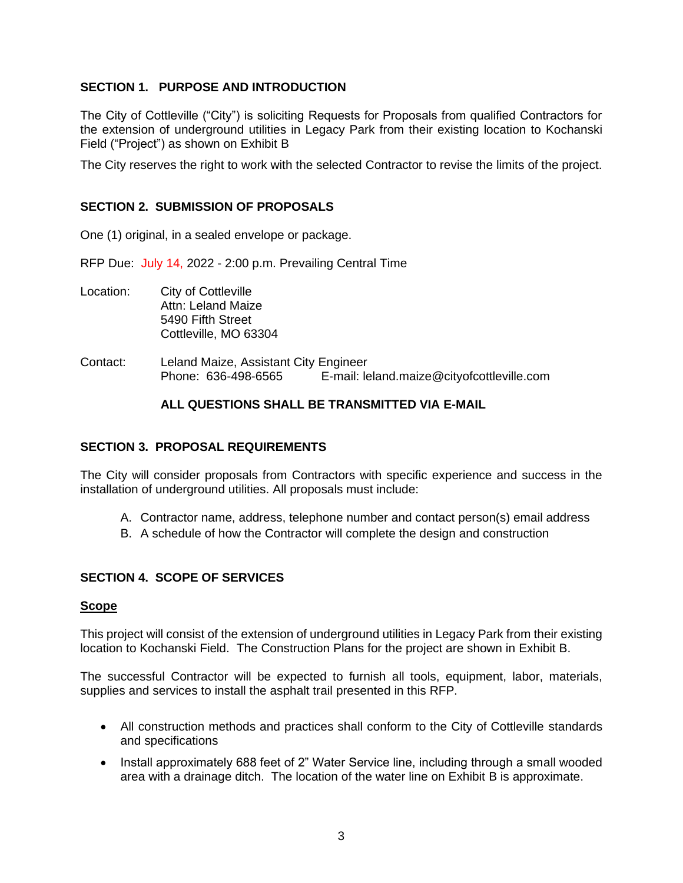# **SECTION 1. PURPOSE AND INTRODUCTION**

The City of Cottleville ("City") is soliciting Requests for Proposals from qualified Contractors for the extension of underground utilities in Legacy Park from their existing location to Kochanski Field ("Project") as shown on Exhibit B

The City reserves the right to work with the selected Contractor to revise the limits of the project.

#### **SECTION 2. SUBMISSION OF PROPOSALS**

One (1) original, in a sealed envelope or package.

RFP Due: July 14, 2022 - 2:00 p.m. Prevailing Central Time

- Location: City of Cottleville Attn: Leland Maize 5490 Fifth Street Cottleville, MO 63304
- Contact: Leland Maize, Assistant City Engineer E-mail: leland.maize@cityofcottleville.com

## **ALL QUESTIONS SHALL BE TRANSMITTED VIA E-MAIL**

### **SECTION 3. PROPOSAL REQUIREMENTS**

The City will consider proposals from Contractors with specific experience and success in the installation of underground utilities. All proposals must include:

- A. Contractor name, address, telephone number and contact person(s) email address
- B. A schedule of how the Contractor will complete the design and construction

## **SECTION 4. SCOPE OF SERVICES**

#### **Scope**

This project will consist of the extension of underground utilities in Legacy Park from their existing location to Kochanski Field. The Construction Plans for the project are shown in Exhibit B.

The successful Contractor will be expected to furnish all tools, equipment, labor, materials, supplies and services to install the asphalt trail presented in this RFP.

- All construction methods and practices shall conform to the City of Cottleville standards and specifications
- Install approximately 688 feet of 2" Water Service line, including through a small wooded area with a drainage ditch. The location of the water line on Exhibit B is approximate.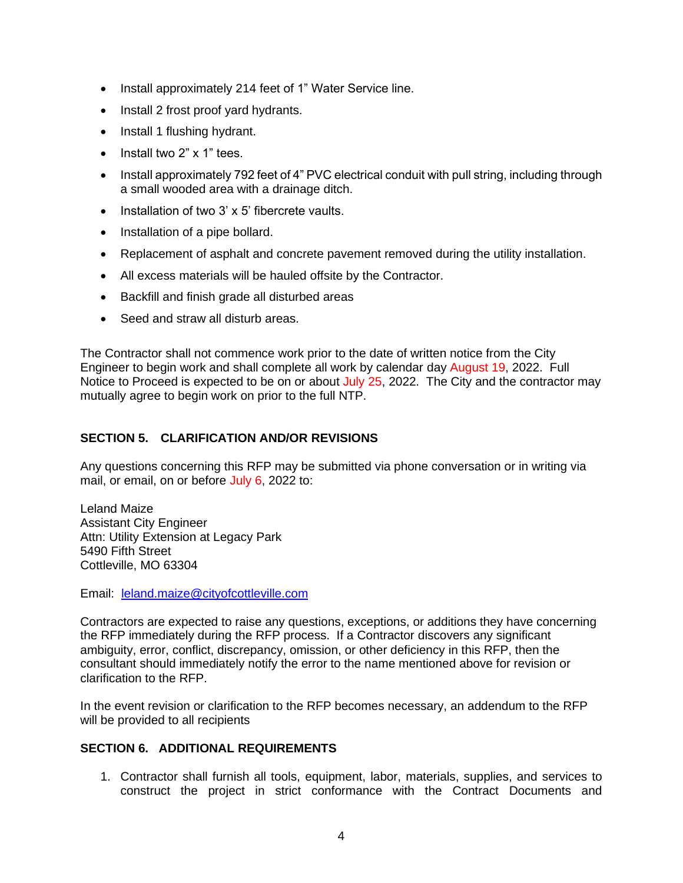- Install approximately 214 feet of 1" Water Service line.
- Install 2 frost proof yard hydrants.
- Install 1 flushing hydrant.
- Install two 2" x 1" tees.
- Install approximately 792 feet of 4" PVC electrical conduit with pull string, including through a small wooded area with a drainage ditch.
- Installation of two 3' x 5' fibercrete vaults.
- Installation of a pipe bollard.
- Replacement of asphalt and concrete pavement removed during the utility installation.
- All excess materials will be hauled offsite by the Contractor.
- Backfill and finish grade all disturbed areas
- Seed and straw all disturb areas.

The Contractor shall not commence work prior to the date of written notice from the City Engineer to begin work and shall complete all work by calendar day August 19, 2022. Full Notice to Proceed is expected to be on or about July 25, 2022. The City and the contractor may mutually agree to begin work on prior to the full NTP.

# **SECTION 5. CLARIFICATION AND/OR REVISIONS**

Any questions concerning this RFP may be submitted via phone conversation or in writing via mail, or email, on or before July 6, 2022 to:

Leland Maize Assistant City Engineer Attn: Utility Extension at Legacy Park 5490 Fifth Street Cottleville, MO 63304

Email: [leland.maize@cityofcottleville.com](mailto:leland.maize@cityofcottleville.com)

Contractors are expected to raise any questions, exceptions, or additions they have concerning the RFP immediately during the RFP process. If a Contractor discovers any significant ambiguity, error, conflict, discrepancy, omission, or other deficiency in this RFP, then the consultant should immediately notify the error to the name mentioned above for revision or clarification to the RFP.

In the event revision or clarification to the RFP becomes necessary, an addendum to the RFP will be provided to all recipients

# **SECTION 6. ADDITIONAL REQUIREMENTS**

1. Contractor shall furnish all tools, equipment, labor, materials, supplies, and services to construct the project in strict conformance with the Contract Documents and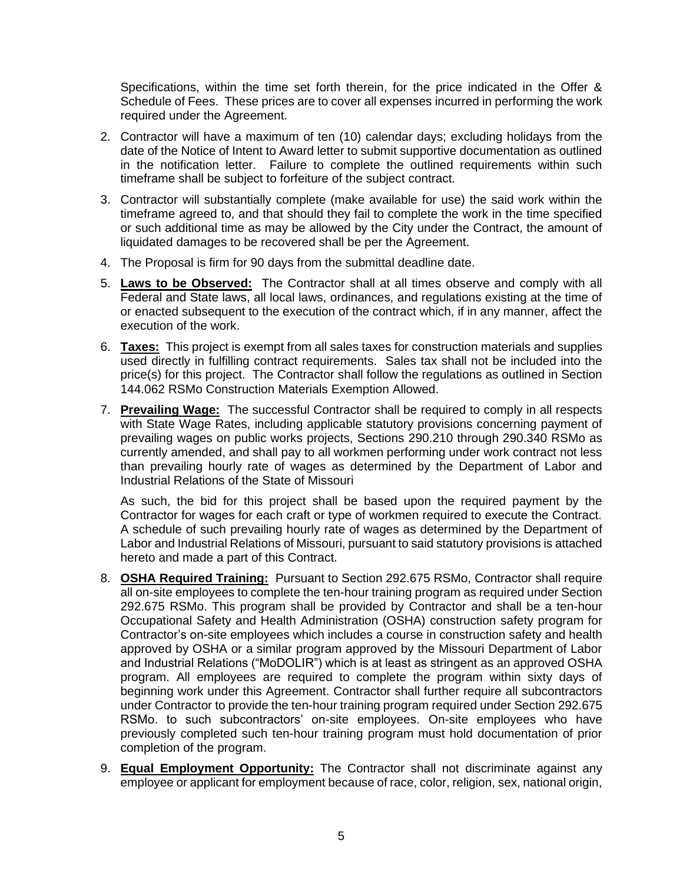Specifications, within the time set forth therein, for the price indicated in the Offer & Schedule of Fees. These prices are to cover all expenses incurred in performing the work required under the Agreement.

- 2. Contractor will have a maximum of ten (10) calendar days; excluding holidays from the date of the Notice of Intent to Award letter to submit supportive documentation as outlined in the notification letter. Failure to complete the outlined requirements within such timeframe shall be subject to forfeiture of the subject contract.
- 3. Contractor will substantially complete (make available for use) the said work within the timeframe agreed to, and that should they fail to complete the work in the time specified or such additional time as may be allowed by the City under the Contract, the amount of liquidated damages to be recovered shall be per the Agreement.
- 4. The Proposal is firm for 90 days from the submittal deadline date.
- 5. **Laws to be Observed:** The Contractor shall at all times observe and comply with all Federal and State laws, all local laws, ordinances, and regulations existing at the time of or enacted subsequent to the execution of the contract which, if in any manner, affect the execution of the work.
- 6. **Taxes:** This project is exempt from all sales taxes for construction materials and supplies used directly in fulfilling contract requirements. Sales tax shall not be included into the price(s) for this project. The Contractor shall follow the regulations as outlined in Section 144.062 RSMo Construction Materials Exemption Allowed.
- 7. **Prevailing Wage:** The successful Contractor shall be required to comply in all respects with State Wage Rates, including applicable statutory provisions concerning payment of prevailing wages on public works projects, Sections 290.210 through 290.340 RSMo as currently amended, and shall pay to all workmen performing under work contract not less than prevailing hourly rate of wages as determined by the Department of Labor and Industrial Relations of the State of Missouri

As such, the bid for this project shall be based upon the required payment by the Contractor for wages for each craft or type of workmen required to execute the Contract. A schedule of such prevailing hourly rate of wages as determined by the Department of Labor and Industrial Relations of Missouri, pursuant to said statutory provisions is attached hereto and made a part of this Contract.

- 8. **OSHA Required Training:** Pursuant to Section 292.675 RSMo, Contractor shall require all on-site employees to complete the ten-hour training program as required under Section 292.675 RSMo. This program shall be provided by Contractor and shall be a ten-hour Occupational Safety and Health Administration (OSHA) construction safety program for Contractor's on-site employees which includes a course in construction safety and health approved by OSHA or a similar program approved by the Missouri Department of Labor and Industrial Relations ("MoDOLIR") which is at least as stringent as an approved OSHA program. All employees are required to complete the program within sixty days of beginning work under this Agreement. Contractor shall further require all subcontractors under Contractor to provide the ten-hour training program required under Section 292.675 RSMo. to such subcontractors' on-site employees. On-site employees who have previously completed such ten-hour training program must hold documentation of prior completion of the program.
- 9. **Equal Employment Opportunity:** The Contractor shall not discriminate against any employee or applicant for employment because of race, color, religion, sex, national origin,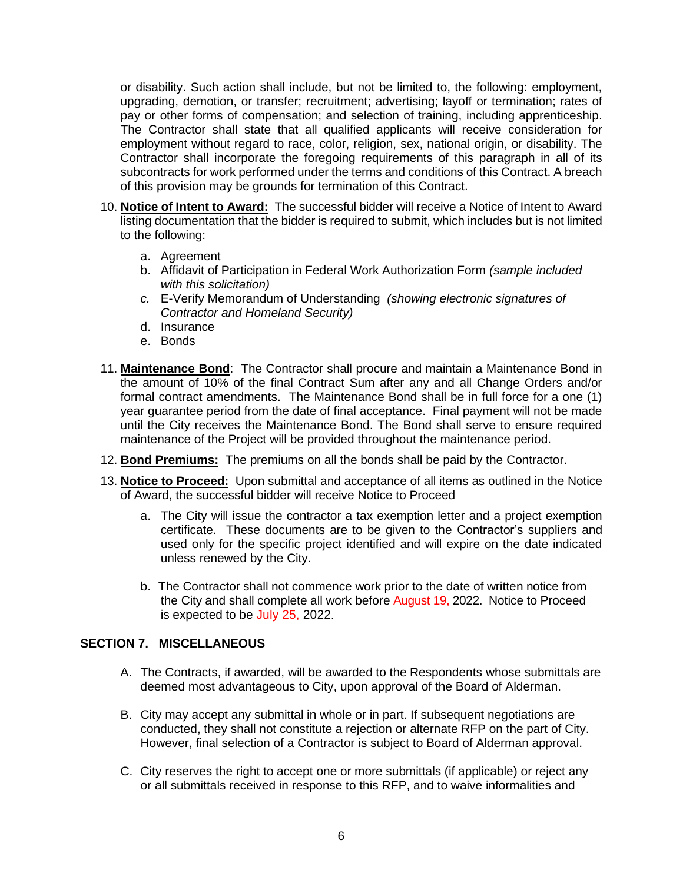or disability. Such action shall include, but not be limited to, the following: employment, upgrading, demotion, or transfer; recruitment; advertising; layoff or termination; rates of pay or other forms of compensation; and selection of training, including apprenticeship. The Contractor shall state that all qualified applicants will receive consideration for employment without regard to race, color, religion, sex, national origin, or disability. The Contractor shall incorporate the foregoing requirements of this paragraph in all of its subcontracts for work performed under the terms and conditions of this Contract. A breach of this provision may be grounds for termination of this Contract.

- 10. **Notice of Intent to Award:** The successful bidder will receive a Notice of Intent to Award listing documentation that the bidder is required to submit, which includes but is not limited to the following:
	- a. Agreement
	- b. Affidavit of Participation in Federal Work Authorization Form *(sample included with this solicitation)*
	- *c.* E-Verify Memorandum of Understanding *(showing electronic signatures of Contractor and Homeland Security)*
	- d. Insurance
	- e. Bonds
- 11. **Maintenance Bond**: The Contractor shall procure and maintain a Maintenance Bond in the amount of 10% of the final Contract Sum after any and all Change Orders and/or formal contract amendments. The Maintenance Bond shall be in full force for a one (1) year guarantee period from the date of final acceptance. Final payment will not be made until the City receives the Maintenance Bond. The Bond shall serve to ensure required maintenance of the Project will be provided throughout the maintenance period.
- 12. **Bond Premiums:** The premiums on all the bonds shall be paid by the Contractor.
- 13. **Notice to Proceed:** Upon submittal and acceptance of all items as outlined in the Notice of Award, the successful bidder will receive Notice to Proceed
	- a. The City will issue the contractor a tax exemption letter and a project exemption certificate. These documents are to be given to the Contractor's suppliers and used only for the specific project identified and will expire on the date indicated unless renewed by the City.
	- b. The Contractor shall not commence work prior to the date of written notice from the City and shall complete all work before August 19, 2022. Notice to Proceed is expected to be July 25, 2022.

#### **SECTION 7. MISCELLANEOUS**

- A. The Contracts, if awarded, will be awarded to the Respondents whose submittals are deemed most advantageous to City, upon approval of the Board of Alderman.
- B. City may accept any submittal in whole or in part. If subsequent negotiations are conducted, they shall not constitute a rejection or alternate RFP on the part of City. However, final selection of a Contractor is subject to Board of Alderman approval.
- C. City reserves the right to accept one or more submittals (if applicable) or reject any or all submittals received in response to this RFP, and to waive informalities and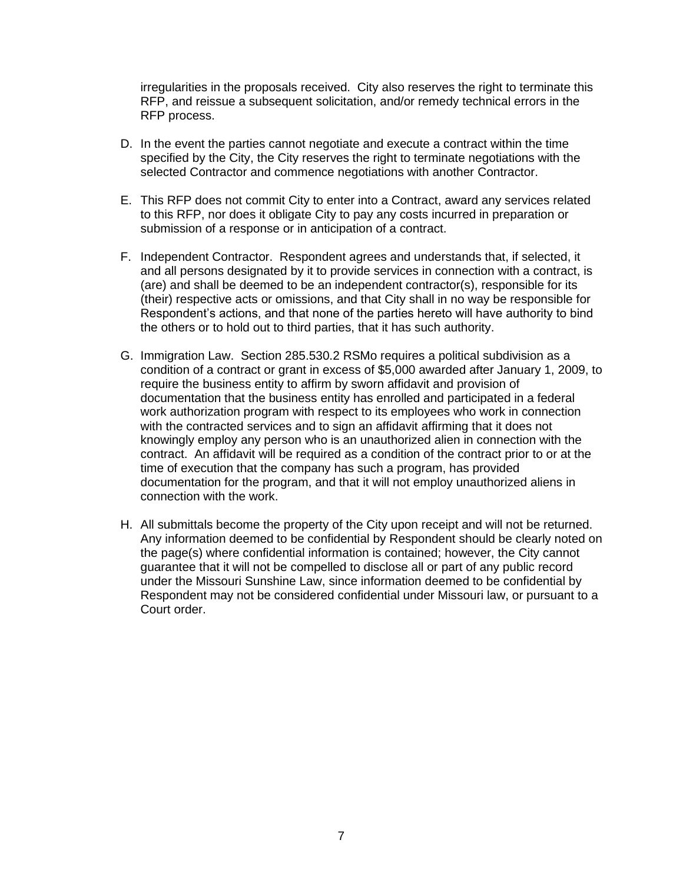irregularities in the proposals received. City also reserves the right to terminate this RFP, and reissue a subsequent solicitation, and/or remedy technical errors in the RFP process.

- D. In the event the parties cannot negotiate and execute a contract within the time specified by the City, the City reserves the right to terminate negotiations with the selected Contractor and commence negotiations with another Contractor.
- E. This RFP does not commit City to enter into a Contract, award any services related to this RFP, nor does it obligate City to pay any costs incurred in preparation or submission of a response or in anticipation of a contract.
- F. Independent Contractor. Respondent agrees and understands that, if selected, it and all persons designated by it to provide services in connection with a contract, is (are) and shall be deemed to be an independent contractor(s), responsible for its (their) respective acts or omissions, and that City shall in no way be responsible for Respondent's actions, and that none of the parties hereto will have authority to bind the others or to hold out to third parties, that it has such authority.
- G. Immigration Law. Section 285.530.2 RSMo requires a political subdivision as a condition of a contract or grant in excess of \$5,000 awarded after January 1, 2009, to require the business entity to affirm by sworn affidavit and provision of documentation that the business entity has enrolled and participated in a federal work authorization program with respect to its employees who work in connection with the contracted services and to sign an affidavit affirming that it does not knowingly employ any person who is an unauthorized alien in connection with the contract. An affidavit will be required as a condition of the contract prior to or at the time of execution that the company has such a program, has provided documentation for the program, and that it will not employ unauthorized aliens in connection with the work.
- H. All submittals become the property of the City upon receipt and will not be returned. Any information deemed to be confidential by Respondent should be clearly noted on the page(s) where confidential information is contained; however, the City cannot guarantee that it will not be compelled to disclose all or part of any public record under the Missouri Sunshine Law, since information deemed to be confidential by Respondent may not be considered confidential under Missouri law, or pursuant to a Court order.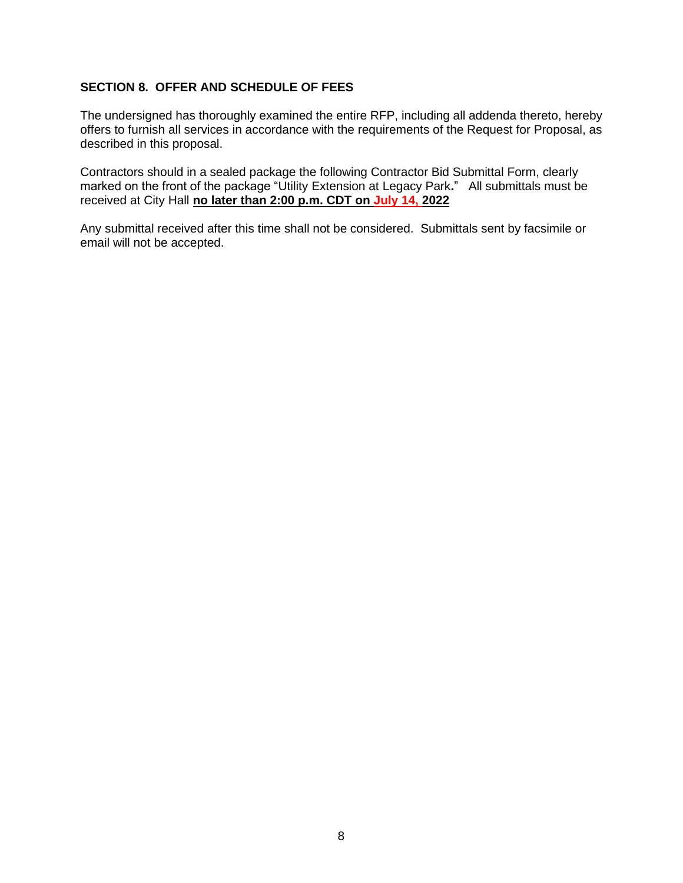# **SECTION 8. OFFER AND SCHEDULE OF FEES**

The undersigned has thoroughly examined the entire RFP, including all addenda thereto, hereby offers to furnish all services in accordance with the requirements of the Request for Proposal, as described in this proposal.

Contractors should in a sealed package the following Contractor Bid Submittal Form, clearly marked on the front of the package "Utility Extension at Legacy Park**.**" All submittals must be received at City Hall **no later than 2:00 p.m. CDT on July 14, 2022**

Any submittal received after this time shall not be considered. Submittals sent by facsimile or email will not be accepted.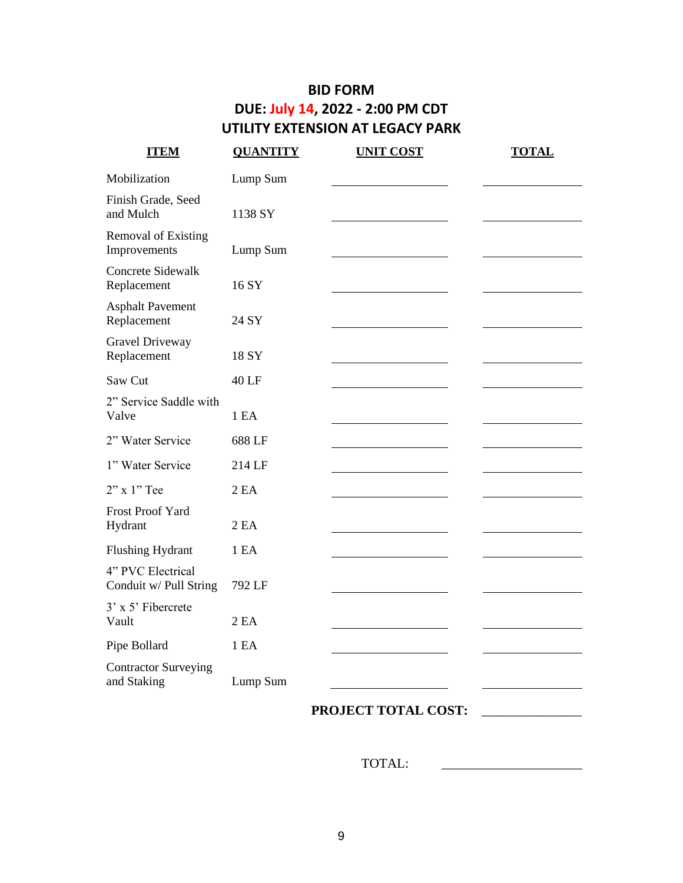# **BID FORM DUE: July 14, 2022 - 2:00 PM CDT UTILITY EXTENSION AT LEGACY PARK**

| <b>ITEM</b>                                 | <b>QUANTITY</b> | <b>UNIT COST</b>           | <b>TOTAL</b> |
|---------------------------------------------|-----------------|----------------------------|--------------|
| Mobilization                                | Lump Sum        |                            |              |
| Finish Grade, Seed<br>and Mulch             | 1138 SY         |                            |              |
| <b>Removal of Existing</b><br>Improvements  | Lump Sum        |                            |              |
| <b>Concrete Sidewalk</b><br>Replacement     | 16 SY           |                            |              |
| <b>Asphalt Pavement</b><br>Replacement      | 24 SY           |                            |              |
| <b>Gravel Driveway</b><br>Replacement       | 18 SY           |                            |              |
| Saw Cut                                     | 40 LF           |                            |              |
| 2" Service Saddle with<br>Valve             | 1 EA            |                            |              |
| 2" Water Service                            | 688 LF          |                            |              |
| 1" Water Service                            | 214 LF          |                            |              |
| 2" x 1" Tee                                 | 2EA             |                            |              |
| Frost Proof Yard<br>Hydrant                 | 2FA             |                            |              |
| <b>Flushing Hydrant</b>                     | 1 EA            |                            |              |
| 4" PVC Electrical<br>Conduit w/ Pull String | 792 LF          |                            |              |
| $3'$ x 5' Fibercrete<br>Vault               | 2EA             |                            |              |
| Pipe Bollard                                | 1 EA            |                            |              |
| <b>Contractor Surveying</b><br>and Staking  | Lump Sum        |                            |              |
|                                             |                 | <b>PROJECT TOTAL COST:</b> |              |

TOTAL: \_\_\_\_\_\_\_\_\_\_\_\_\_\_\_\_\_\_\_\_\_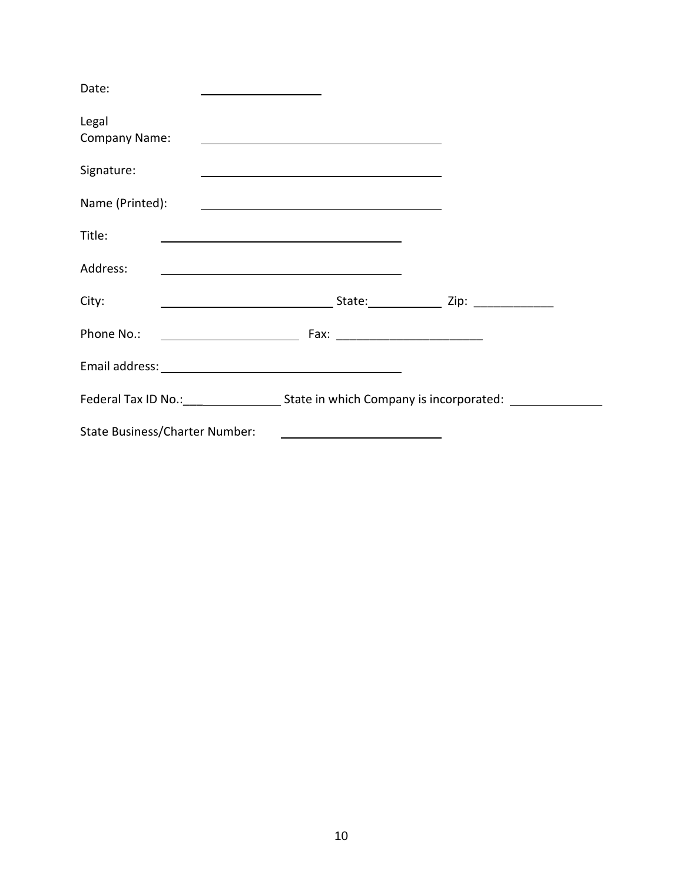| Date:                                                                                                                          |                                                                                                                       |                                    |
|--------------------------------------------------------------------------------------------------------------------------------|-----------------------------------------------------------------------------------------------------------------------|------------------------------------|
| Legal                                                                                                                          |                                                                                                                       |                                    |
| Company Name:                                                                                                                  |                                                                                                                       |                                    |
| Signature:                                                                                                                     | <u> 1989 - Johann Stein, Amerikaansk politiker (</u>                                                                  |                                    |
| Name (Printed):                                                                                                                |                                                                                                                       |                                    |
| Title:                                                                                                                         | <u> 1989 - Johann John Stone, Amerikaansk politiker (</u>                                                             |                                    |
| Address:                                                                                                                       | <u> 1989 - Johann Harry Harry Harry Harry Harry Harry Harry Harry Harry Harry Harry Harry Harry Harry Harry Harry</u> |                                    |
| City:<br><u> 1980 - Jan Barbara Barat, martin da basar da basar da basar da basar da basar da basar da basar da basar da b</u> |                                                                                                                       | State: <u>University</u> Zip: 210. |
| <u> 1990 - Jan Alexandria (h. 1980).</u><br>Phone No.:                                                                         |                                                                                                                       |                                    |
|                                                                                                                                |                                                                                                                       |                                    |
|                                                                                                                                |                                                                                                                       |                                    |
| State Business/Charter Number:                                                                                                 |                                                                                                                       |                                    |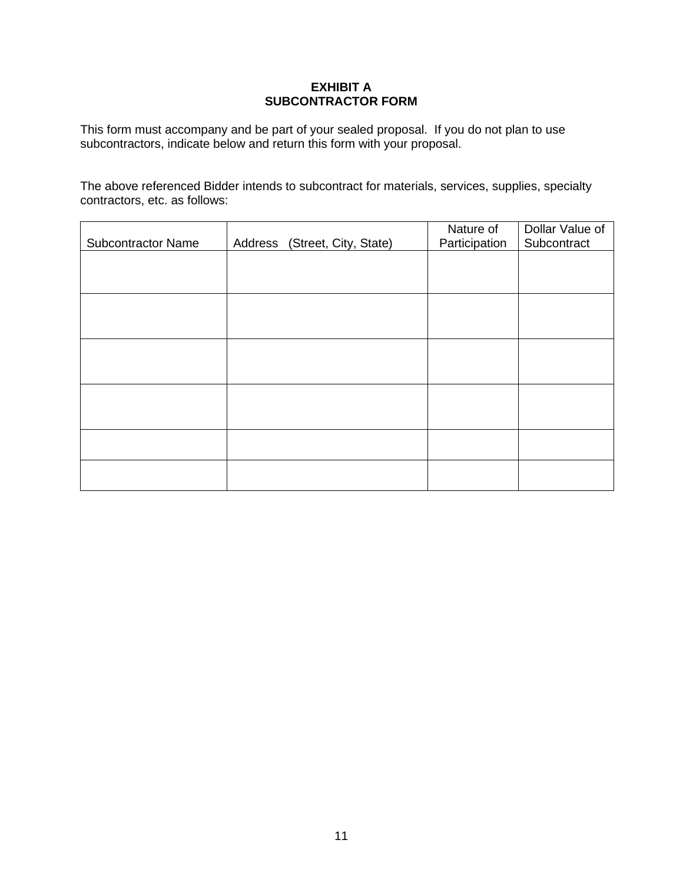## **EXHIBIT A SUBCONTRACTOR FORM**

This form must accompany and be part of your sealed proposal. If you do not plan to use subcontractors, indicate below and return this form with your proposal.

The above referenced Bidder intends to subcontract for materials, services, supplies, specialty contractors, etc. as follows:

| <b>Subcontractor Name</b> | Address (Street, City, State) | Nature of<br>Participation | Dollar Value of<br>Subcontract |
|---------------------------|-------------------------------|----------------------------|--------------------------------|
|                           |                               |                            |                                |
|                           |                               |                            |                                |
|                           |                               |                            |                                |
|                           |                               |                            |                                |
|                           |                               |                            |                                |
|                           |                               |                            |                                |
|                           |                               |                            |                                |
|                           |                               |                            |                                |
|                           |                               |                            |                                |
|                           |                               |                            |                                |
|                           |                               |                            |                                |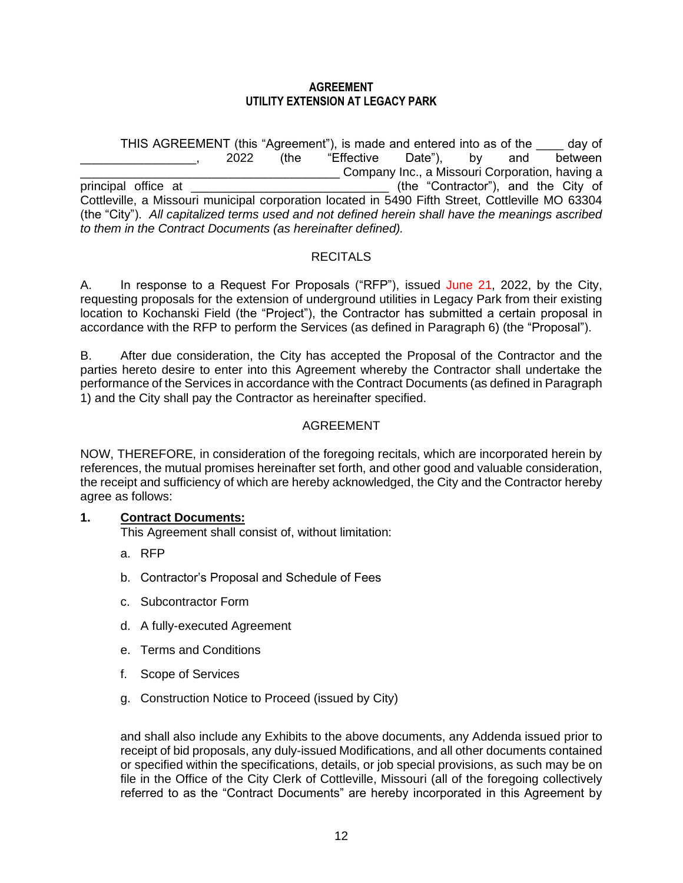#### **AGREEMENT UTILITY EXTENSION AT LEGACY PARK**

THIS AGREEMENT (this "Agreement"), is made and entered into as of the \_\_\_\_ day of \_\_\_\_\_\_\_\_\_\_\_\_\_\_\_\_\_, 2022 (the "Effective Date"), by and between Company Inc., a Missouri Corporation, having a principal office at \_\_\_\_\_\_\_\_\_\_\_\_\_\_\_\_\_\_\_\_\_\_\_\_\_\_\_\_\_ (the "Contractor"), and the City of Cottleville, a Missouri municipal corporation located in 5490 Fifth Street, Cottleville MO 63304 (the "City"). *All capitalized terms used and not defined herein shall have the meanings ascribed to them in the Contract Documents (as hereinafter defined).*

## **RECITALS**

A. In response to a Request For Proposals ("RFP"), issued June 21, 2022, by the City, requesting proposals for the extension of underground utilities in Legacy Park from their existing location to Kochanski Field (the "Project"), the Contractor has submitted a certain proposal in accordance with the RFP to perform the Services (as defined in Paragraph 6) (the "Proposal").

B. After due consideration, the City has accepted the Proposal of the Contractor and the parties hereto desire to enter into this Agreement whereby the Contractor shall undertake the performance of the Services in accordance with the Contract Documents (as defined in Paragraph 1) and the City shall pay the Contractor as hereinafter specified.

## AGREEMENT

NOW, THEREFORE, in consideration of the foregoing recitals, which are incorporated herein by references, the mutual promises hereinafter set forth, and other good and valuable consideration, the receipt and sufficiency of which are hereby acknowledged, the City and the Contractor hereby agree as follows:

## **1. Contract Documents:**

This Agreement shall consist of, without limitation:

- a. RFP
- b. Contractor's Proposal and Schedule of Fees
- c. Subcontractor Form
- d. A fully-executed Agreement
- e. Terms and Conditions
- f. Scope of Services
- g. Construction Notice to Proceed (issued by City)

and shall also include any Exhibits to the above documents, any Addenda issued prior to receipt of bid proposals, any duly-issued Modifications, and all other documents contained or specified within the specifications, details, or job special provisions, as such may be on file in the Office of the City Clerk of Cottleville, Missouri (all of the foregoing collectively referred to as the "Contract Documents" are hereby incorporated in this Agreement by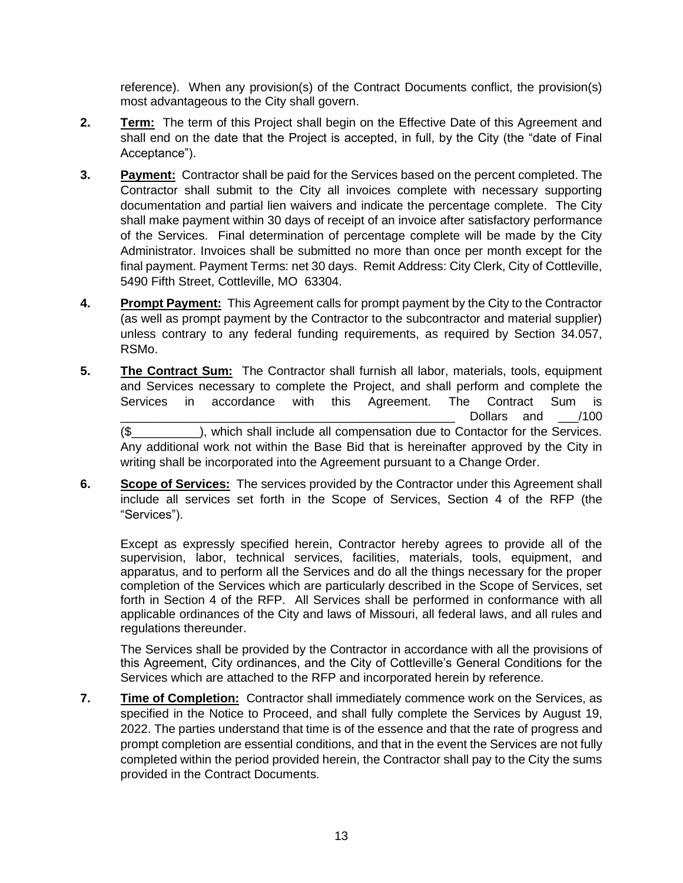reference). When any provision(s) of the Contract Documents conflict, the provision(s) most advantageous to the City shall govern.

- **2. Term:** The term of this Project shall begin on the Effective Date of this Agreement and shall end on the date that the Project is accepted, in full, by the City (the "date of Final Acceptance").
- **3. Payment:** Contractor shall be paid for the Services based on the percent completed. The Contractor shall submit to the City all invoices complete with necessary supporting documentation and partial lien waivers and indicate the percentage complete. The City shall make payment within 30 days of receipt of an invoice after satisfactory performance of the Services. Final determination of percentage complete will be made by the City Administrator. Invoices shall be submitted no more than once per month except for the final payment. Payment Terms: net 30 days. Remit Address: City Clerk, City of Cottleville, 5490 Fifth Street, Cottleville, MO 63304.
- **4. Prompt Payment:** This Agreement calls for prompt payment by the City to the Contractor (as well as prompt payment by the Contractor to the subcontractor and material supplier) unless contrary to any federal funding requirements, as required by Section 34.057, RSMo.
- **5. The Contract Sum:** The Contractor shall furnish all labor, materials, tools, equipment and Services necessary to complete the Project, and shall perform and complete the Services in accordance with this Agreement. The Contract Sum is Dollars and /100 (\$\_\_\_\_\_\_\_\_\_\_), which shall include all compensation due to Contactor for the Services. Any additional work not within the Base Bid that is hereinafter approved by the City in writing shall be incorporated into the Agreement pursuant to a Change Order.
- **6. Scope of Services:** The services provided by the Contractor under this Agreement shall include all services set forth in the Scope of Services, Section 4 of the RFP (the "Services").

Except as expressly specified herein, Contractor hereby agrees to provide all of the supervision, labor, technical services, facilities, materials, tools, equipment, and apparatus, and to perform all the Services and do all the things necessary for the proper completion of the Services which are particularly described in the Scope of Services, set forth in Section 4 of the RFP. All Services shall be performed in conformance with all applicable ordinances of the City and laws of Missouri, all federal laws, and all rules and regulations thereunder.

The Services shall be provided by the Contractor in accordance with all the provisions of this Agreement, City ordinances, and the City of Cottleville's General Conditions for the Services which are attached to the RFP and incorporated herein by reference.

**7. Time of Completion:** Contractor shall immediately commence work on the Services, as specified in the Notice to Proceed, and shall fully complete the Services by August 19, 2022. The parties understand that time is of the essence and that the rate of progress and prompt completion are essential conditions, and that in the event the Services are not fully completed within the period provided herein, the Contractor shall pay to the City the sums provided in the Contract Documents.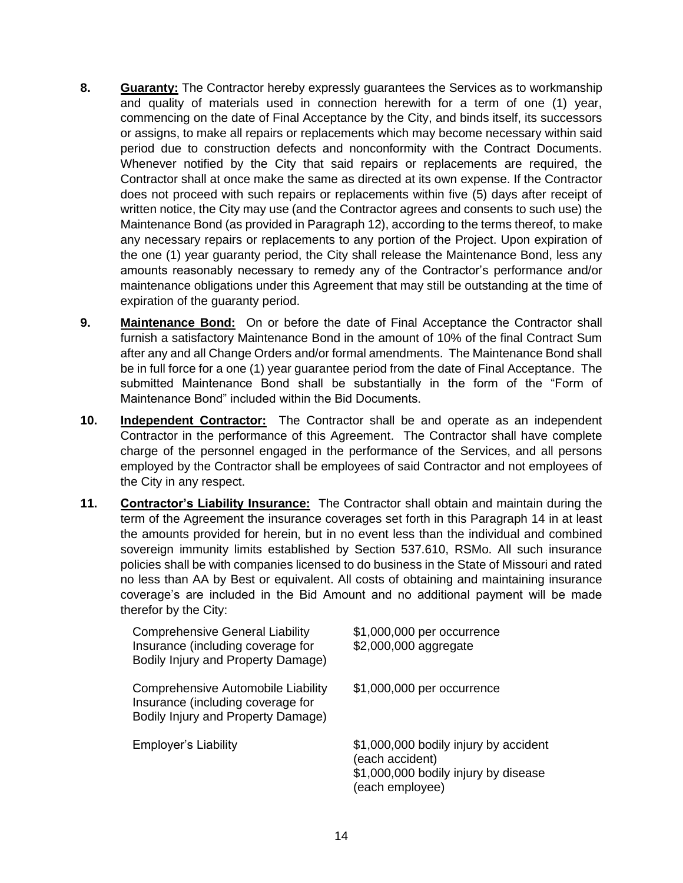- **8. Guaranty:** The Contractor hereby expressly guarantees the Services as to workmanship and quality of materials used in connection herewith for a term of one (1) year, commencing on the date of Final Acceptance by the City, and binds itself, its successors or assigns, to make all repairs or replacements which may become necessary within said period due to construction defects and nonconformity with the Contract Documents. Whenever notified by the City that said repairs or replacements are required, the Contractor shall at once make the same as directed at its own expense. If the Contractor does not proceed with such repairs or replacements within five (5) days after receipt of written notice, the City may use (and the Contractor agrees and consents to such use) the Maintenance Bond (as provided in Paragraph 12), according to the terms thereof, to make any necessary repairs or replacements to any portion of the Project. Upon expiration of the one (1) year guaranty period, the City shall release the Maintenance Bond, less any amounts reasonably necessary to remedy any of the Contractor's performance and/or maintenance obligations under this Agreement that may still be outstanding at the time of expiration of the guaranty period.
- **9. Maintenance Bond:** On or before the date of Final Acceptance the Contractor shall furnish a satisfactory Maintenance Bond in the amount of 10% of the final Contract Sum after any and all Change Orders and/or formal amendments. The Maintenance Bond shall be in full force for a one (1) year guarantee period from the date of Final Acceptance. The submitted Maintenance Bond shall be substantially in the form of the "Form of Maintenance Bond" included within the Bid Documents.
- **10. Independent Contractor:** The Contractor shall be and operate as an independent Contractor in the performance of this Agreement. The Contractor shall have complete charge of the personnel engaged in the performance of the Services, and all persons employed by the Contractor shall be employees of said Contractor and not employees of the City in any respect.
- **11. Contractor's Liability Insurance:** The Contractor shall obtain and maintain during the term of the Agreement the insurance coverages set forth in this Paragraph 14 in at least the amounts provided for herein, but in no event less than the individual and combined sovereign immunity limits established by Section 537.610, RSMo. All such insurance policies shall be with companies licensed to do business in the State of Missouri and rated no less than AA by Best or equivalent. All costs of obtaining and maintaining insurance coverage's are included in the Bid Amount and no additional payment will be made therefor by the City:

| <b>Comprehensive General Liability</b><br>Insurance (including coverage for<br>Bodily Injury and Property Damage) | \$1,000,000 per occurrence<br>\$2,000,000 aggregate                                                                 |
|-------------------------------------------------------------------------------------------------------------------|---------------------------------------------------------------------------------------------------------------------|
| Comprehensive Automobile Liability<br>Insurance (including coverage for<br>Bodily Injury and Property Damage)     | \$1,000,000 per occurrence                                                                                          |
| <b>Employer's Liability</b>                                                                                       | \$1,000,000 bodily injury by accident<br>(each accident)<br>\$1,000,000 bodily injury by disease<br>(each employee) |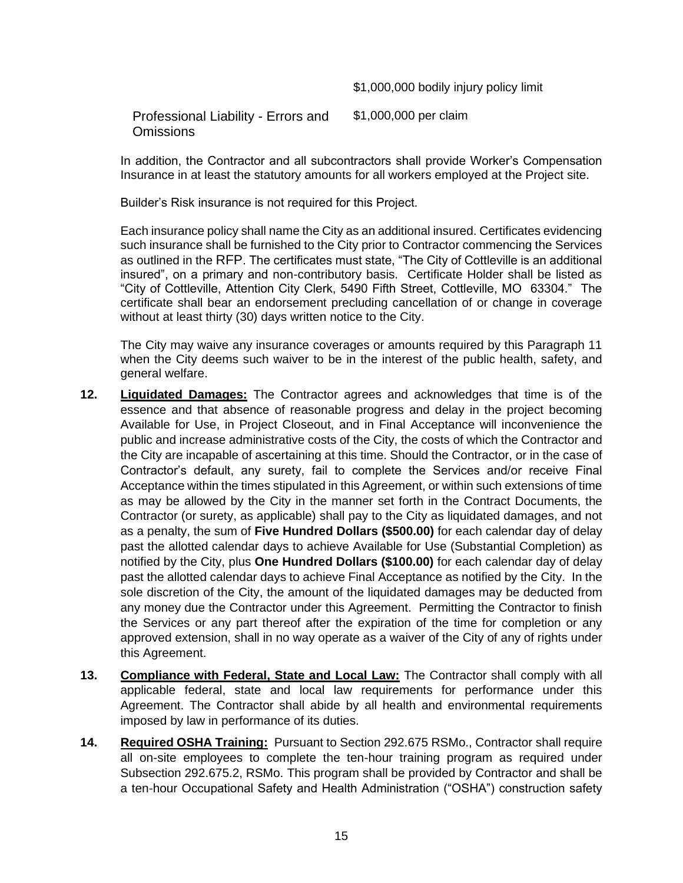\$1,000,000 bodily injury policy limit

Professional Liability - Errors and **Omissions** 

\$1,000,000 per claim

In addition, the Contractor and all subcontractors shall provide Worker's Compensation Insurance in at least the statutory amounts for all workers employed at the Project site.

Builder's Risk insurance is not required for this Project.

Each insurance policy shall name the City as an additional insured. Certificates evidencing such insurance shall be furnished to the City prior to Contractor commencing the Services as outlined in the RFP. The certificates must state, "The City of Cottleville is an additional insured", on a primary and non-contributory basis. Certificate Holder shall be listed as "City of Cottleville, Attention City Clerk, 5490 Fifth Street, Cottleville, MO 63304." The certificate shall bear an endorsement precluding cancellation of or change in coverage without at least thirty (30) days written notice to the City.

The City may waive any insurance coverages or amounts required by this Paragraph 11 when the City deems such waiver to be in the interest of the public health, safety, and general welfare.

- **12. Liquidated Damages:** The Contractor agrees and acknowledges that time is of the essence and that absence of reasonable progress and delay in the project becoming Available for Use, in Project Closeout, and in Final Acceptance will inconvenience the public and increase administrative costs of the City, the costs of which the Contractor and the City are incapable of ascertaining at this time. Should the Contractor, or in the case of Contractor's default, any surety, fail to complete the Services and/or receive Final Acceptance within the times stipulated in this Agreement, or within such extensions of time as may be allowed by the City in the manner set forth in the Contract Documents, the Contractor (or surety, as applicable) shall pay to the City as liquidated damages, and not as a penalty, the sum of **Five Hundred Dollars (\$500.00)** for each calendar day of delay past the allotted calendar days to achieve Available for Use (Substantial Completion) as notified by the City, plus **One Hundred Dollars (\$100.00)** for each calendar day of delay past the allotted calendar days to achieve Final Acceptance as notified by the City. In the sole discretion of the City, the amount of the liquidated damages may be deducted from any money due the Contractor under this Agreement. Permitting the Contractor to finish the Services or any part thereof after the expiration of the time for completion or any approved extension, shall in no way operate as a waiver of the City of any of rights under this Agreement.
- **13. Compliance with Federal, State and Local Law:** The Contractor shall comply with all applicable federal, state and local law requirements for performance under this Agreement. The Contractor shall abide by all health and environmental requirements imposed by law in performance of its duties.
- **14. Required OSHA Training:** Pursuant to Section 292.675 RSMo., Contractor shall require all on-site employees to complete the ten-hour training program as required under Subsection 292.675.2, RSMo. This program shall be provided by Contractor and shall be a ten-hour Occupational Safety and Health Administration ("OSHA") construction safety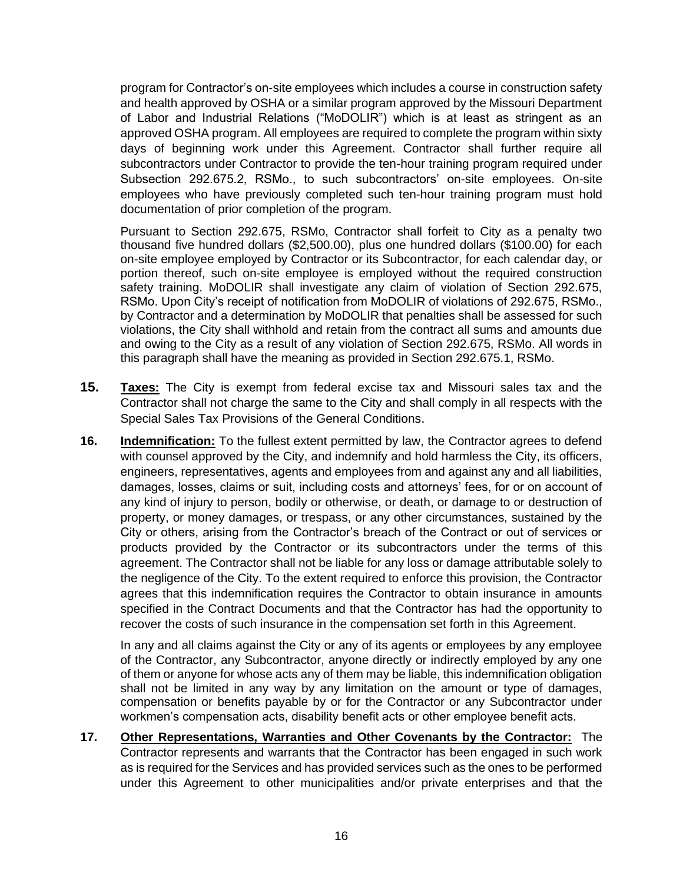program for Contractor's on-site employees which includes a course in construction safety and health approved by OSHA or a similar program approved by the Missouri Department of Labor and Industrial Relations ("MoDOLIR") which is at least as stringent as an approved OSHA program. All employees are required to complete the program within sixty days of beginning work under this Agreement. Contractor shall further require all subcontractors under Contractor to provide the ten-hour training program required under Subsection 292.675.2, RSMo., to such subcontractors' on-site employees. On-site employees who have previously completed such ten-hour training program must hold documentation of prior completion of the program.

Pursuant to Section 292.675, RSMo, Contractor shall forfeit to City as a penalty two thousand five hundred dollars (\$2,500.00), plus one hundred dollars (\$100.00) for each on-site employee employed by Contractor or its Subcontractor, for each calendar day, or portion thereof, such on-site employee is employed without the required construction safety training. MoDOLIR shall investigate any claim of violation of Section 292.675, RSMo. Upon City's receipt of notification from MoDOLIR of violations of 292.675, RSMo., by Contractor and a determination by MoDOLIR that penalties shall be assessed for such violations, the City shall withhold and retain from the contract all sums and amounts due and owing to the City as a result of any violation of Section 292.675, RSMo. All words in this paragraph shall have the meaning as provided in Section 292.675.1, RSMo.

- **15. Taxes:** The City is exempt from federal excise tax and Missouri sales tax and the Contractor shall not charge the same to the City and shall comply in all respects with the Special Sales Tax Provisions of the General Conditions.
- **16. Indemnification:** To the fullest extent permitted by law, the Contractor agrees to defend with counsel approved by the City, and indemnify and hold harmless the City, its officers, engineers, representatives, agents and employees from and against any and all liabilities, damages, losses, claims or suit, including costs and attorneys' fees, for or on account of any kind of injury to person, bodily or otherwise, or death, or damage to or destruction of property, or money damages, or trespass, or any other circumstances, sustained by the City or others, arising from the Contractor's breach of the Contract or out of services or products provided by the Contractor or its subcontractors under the terms of this agreement. The Contractor shall not be liable for any loss or damage attributable solely to the negligence of the City. To the extent required to enforce this provision, the Contractor agrees that this indemnification requires the Contractor to obtain insurance in amounts specified in the Contract Documents and that the Contractor has had the opportunity to recover the costs of such insurance in the compensation set forth in this Agreement.

In any and all claims against the City or any of its agents or employees by any employee of the Contractor, any Subcontractor, anyone directly or indirectly employed by any one of them or anyone for whose acts any of them may be liable, this indemnification obligation shall not be limited in any way by any limitation on the amount or type of damages, compensation or benefits payable by or for the Contractor or any Subcontractor under workmen's compensation acts, disability benefit acts or other employee benefit acts.

**17. Other Representations, Warranties and Other Covenants by the Contractor:** The Contractor represents and warrants that the Contractor has been engaged in such work as is required for the Services and has provided services such as the ones to be performed under this Agreement to other municipalities and/or private enterprises and that the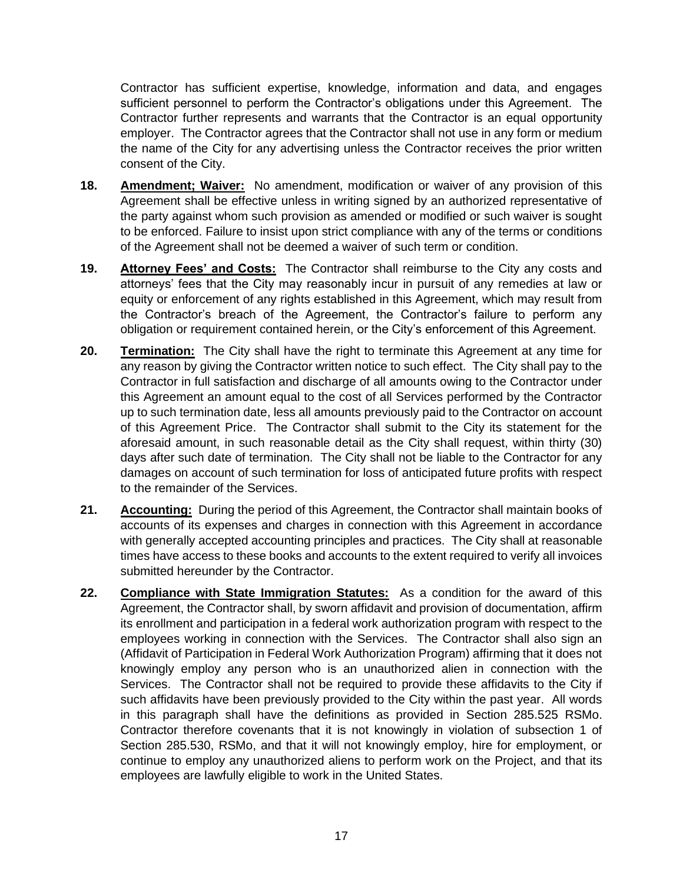Contractor has sufficient expertise, knowledge, information and data, and engages sufficient personnel to perform the Contractor's obligations under this Agreement. The Contractor further represents and warrants that the Contractor is an equal opportunity employer. The Contractor agrees that the Contractor shall not use in any form or medium the name of the City for any advertising unless the Contractor receives the prior written consent of the City.

- **18. Amendment; Waiver:** No amendment, modification or waiver of any provision of this Agreement shall be effective unless in writing signed by an authorized representative of the party against whom such provision as amended or modified or such waiver is sought to be enforced. Failure to insist upon strict compliance with any of the terms or conditions of the Agreement shall not be deemed a waiver of such term or condition.
- **19. Attorney Fees' and Costs:** The Contractor shall reimburse to the City any costs and attorneys' fees that the City may reasonably incur in pursuit of any remedies at law or equity or enforcement of any rights established in this Agreement, which may result from the Contractor's breach of the Agreement, the Contractor's failure to perform any obligation or requirement contained herein, or the City's enforcement of this Agreement.
- **20. Termination:** The City shall have the right to terminate this Agreement at any time for any reason by giving the Contractor written notice to such effect. The City shall pay to the Contractor in full satisfaction and discharge of all amounts owing to the Contractor under this Agreement an amount equal to the cost of all Services performed by the Contractor up to such termination date, less all amounts previously paid to the Contractor on account of this Agreement Price. The Contractor shall submit to the City its statement for the aforesaid amount, in such reasonable detail as the City shall request, within thirty (30) days after such date of termination. The City shall not be liable to the Contractor for any damages on account of such termination for loss of anticipated future profits with respect to the remainder of the Services.
- **21. Accounting:** During the period of this Agreement, the Contractor shall maintain books of accounts of its expenses and charges in connection with this Agreement in accordance with generally accepted accounting principles and practices. The City shall at reasonable times have access to these books and accounts to the extent required to verify all invoices submitted hereunder by the Contractor.
- **22. Compliance with State Immigration Statutes:** As a condition for the award of this Agreement, the Contractor shall, by sworn affidavit and provision of documentation, affirm its enrollment and participation in a federal work authorization program with respect to the employees working in connection with the Services. The Contractor shall also sign an (Affidavit of Participation in Federal Work Authorization Program) affirming that it does not knowingly employ any person who is an unauthorized alien in connection with the Services. The Contractor shall not be required to provide these affidavits to the City if such affidavits have been previously provided to the City within the past year. All words in this paragraph shall have the definitions as provided in Section 285.525 RSMo. Contractor therefore covenants that it is not knowingly in violation of subsection 1 of Section 285.530, RSMo, and that it will not knowingly employ, hire for employment, or continue to employ any unauthorized aliens to perform work on the Project, and that its employees are lawfully eligible to work in the United States.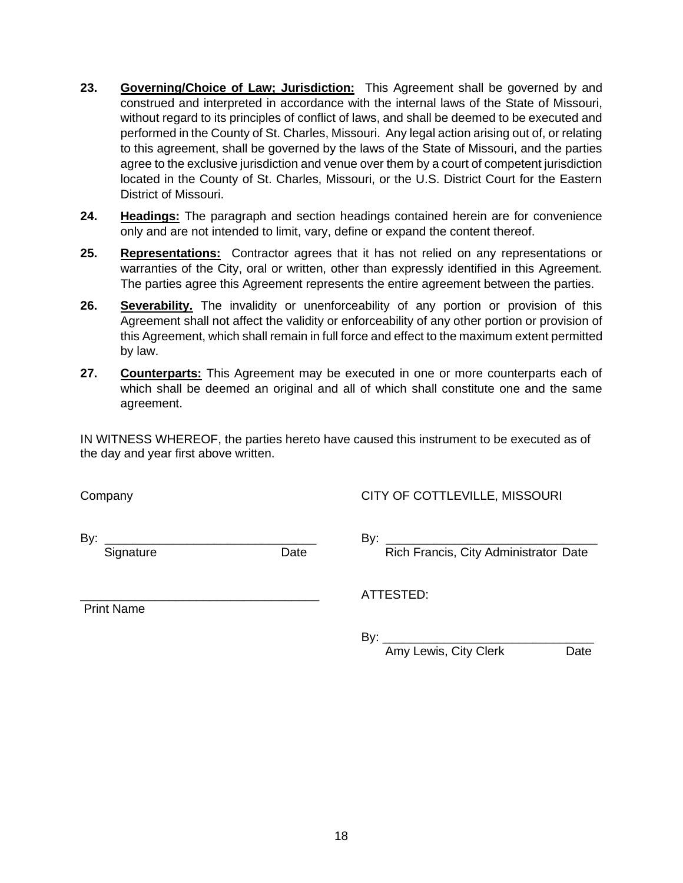- **23. Governing/Choice of Law; Jurisdiction:** This Agreement shall be governed by and construed and interpreted in accordance with the internal laws of the State of Missouri, without regard to its principles of conflict of laws, and shall be deemed to be executed and performed in the County of St. Charles, Missouri. Any legal action arising out of, or relating to this agreement, shall be governed by the laws of the State of Missouri, and the parties agree to the exclusive jurisdiction and venue over them by a court of competent jurisdiction located in the County of St. Charles, Missouri, or the U.S. District Court for the Eastern District of Missouri.
- **24. Headings:** The paragraph and section headings contained herein are for convenience only and are not intended to limit, vary, define or expand the content thereof.
- **25. Representations:** Contractor agrees that it has not relied on any representations or warranties of the City, oral or written, other than expressly identified in this Agreement. The parties agree this Agreement represents the entire agreement between the parties.
- **26. Severability.** The invalidity or unenforceability of any portion or provision of this Agreement shall not affect the validity or enforceability of any other portion or provision of this Agreement, which shall remain in full force and effect to the maximum extent permitted by law.
- **27. Counterparts:** This Agreement may be executed in one or more counterparts each of which shall be deemed an original and all of which shall constitute one and the same agreement.

IN WITNESS WHEREOF, the parties hereto have caused this instrument to be executed as of the day and year first above written.

Company COMPANY CITY OF COTTLEVILLE, MISSOURI

Print Name

By: \_\_\_\_\_\_\_\_\_\_\_\_\_\_\_\_\_\_\_\_\_\_\_\_\_\_\_\_\_\_\_ By: \_\_\_\_\_\_\_\_\_\_\_\_\_\_\_\_\_\_\_\_\_\_\_\_\_\_\_\_\_\_\_

Signature **Date** Date Rich Francis, City Administrator Date

\_\_\_\_\_\_\_\_\_\_\_\_\_\_\_\_\_\_\_\_\_\_\_\_\_\_\_\_\_\_\_\_\_\_\_ ATTESTED:

By: \_\_\_\_\_\_\_\_\_\_\_\_\_\_\_\_\_\_\_\_\_\_\_\_\_\_\_\_\_\_\_

Amy Lewis, City Clerk **Date**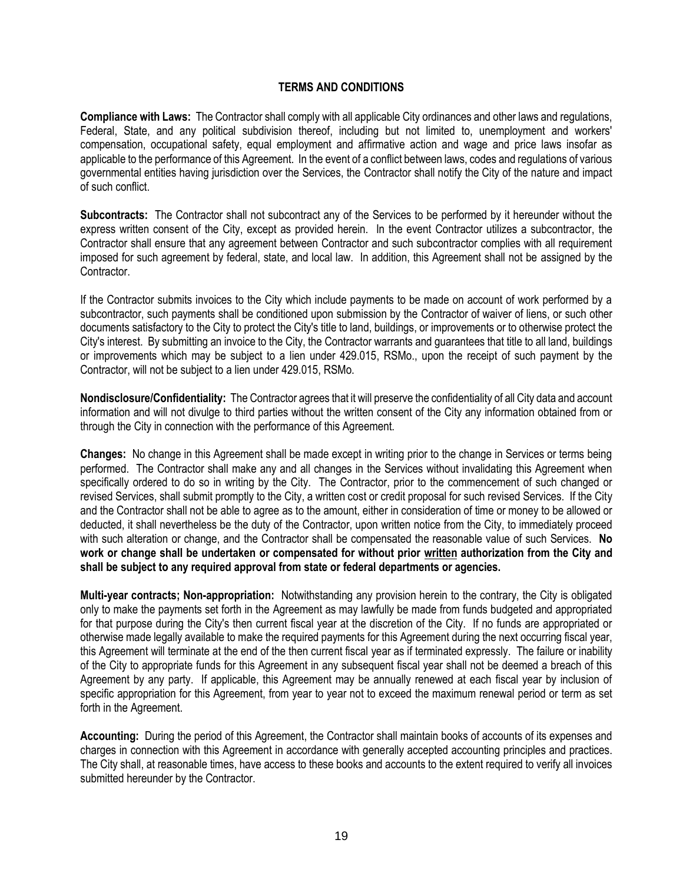#### **TERMS AND CONDITIONS**

**Compliance with Laws:** The Contractor shall comply with all applicable City ordinances and other laws and regulations, Federal, State, and any political subdivision thereof, including but not limited to, unemployment and workers' compensation, occupational safety, equal employment and affirmative action and wage and price laws insofar as applicable to the performance of this Agreement. In the event of a conflict between laws, codes and regulations of various governmental entities having jurisdiction over the Services, the Contractor shall notify the City of the nature and impact of such conflict.

**Subcontracts:** The Contractor shall not subcontract any of the Services to be performed by it hereunder without the express written consent of the City, except as provided herein. In the event Contractor utilizes a subcontractor, the Contractor shall ensure that any agreement between Contractor and such subcontractor complies with all requirement imposed for such agreement by federal, state, and local law. In addition, this Agreement shall not be assigned by the Contractor.

If the Contractor submits invoices to the City which include payments to be made on account of work performed by a subcontractor, such payments shall be conditioned upon submission by the Contractor of waiver of liens, or such other documents satisfactory to the City to protect the City's title to land, buildings, or improvements or to otherwise protect the City's interest. By submitting an invoice to the City, the Contractor warrants and guarantees that title to all land, buildings or improvements which may be subject to a lien under 429.015, RSMo., upon the receipt of such payment by the Contractor, will not be subject to a lien under 429.015, RSMo.

**Nondisclosure/Confidentiality:** The Contractor agrees that it will preserve the confidentiality of all City data and account information and will not divulge to third parties without the written consent of the City any information obtained from or through the City in connection with the performance of this Agreement.

**Changes:** No change in this Agreement shall be made except in writing prior to the change in Services or terms being performed. The Contractor shall make any and all changes in the Services without invalidating this Agreement when specifically ordered to do so in writing by the City. The Contractor, prior to the commencement of such changed or revised Services, shall submit promptly to the City, a written cost or credit proposal for such revised Services. If the City and the Contractor shall not be able to agree as to the amount, either in consideration of time or money to be allowed or deducted, it shall nevertheless be the duty of the Contractor, upon written notice from the City, to immediately proceed with such alteration or change, and the Contractor shall be compensated the reasonable value of such Services. **No work or change shall be undertaken or compensated for without prior written authorization from the City and shall be subject to any required approval from state or federal departments or agencies.**

**Multi-year contracts; Non-appropriation:** Notwithstanding any provision herein to the contrary, the City is obligated only to make the payments set forth in the Agreement as may lawfully be made from funds budgeted and appropriated for that purpose during the City's then current fiscal year at the discretion of the City. If no funds are appropriated or otherwise made legally available to make the required payments for this Agreement during the next occurring fiscal year, this Agreement will terminate at the end of the then current fiscal year as if terminated expressly. The failure or inability of the City to appropriate funds for this Agreement in any subsequent fiscal year shall not be deemed a breach of this Agreement by any party. If applicable, this Agreement may be annually renewed at each fiscal year by inclusion of specific appropriation for this Agreement, from year to year not to exceed the maximum renewal period or term as set forth in the Agreement.

**Accounting:** During the period of this Agreement, the Contractor shall maintain books of accounts of its expenses and charges in connection with this Agreement in accordance with generally accepted accounting principles and practices. The City shall, at reasonable times, have access to these books and accounts to the extent required to verify all invoices submitted hereunder by the Contractor.